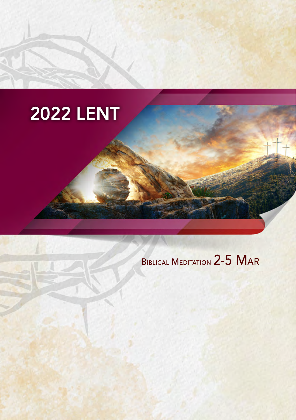# **2022 LENT**

# **BIBLICAL MEDITATION 2-5 MAR**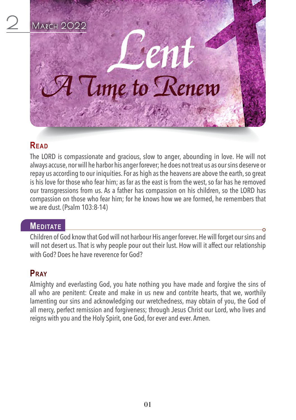

The LORD is compassionate and gracious, slow to anger, abounding in love. He will not always accuse, nor will he harbor his anger forever; he does not treat us as our sins deserve or repay us according to our iniquities. For as high as the heavens are above the earth, so great is his love for those who fear him; as far as the east is from the west, so far has he removed our transgressions from us. As a father has compassion on his children, so the LORD has compassion on those who fear him; for he knows how we are formed, he remembers that we are dust. (Psalm 103:8-14)

#### **MEDITATE**

Children of God know that God will not harbour His anger forever. He will forget our sins and will not desert us. That is why people pour out their lust. How will it affect our relationship with God? Does he have reverence for God?

# **Pray**

Almighty and everlasting God, you hate nothing you have made and forgive the sins of all who are penitent: Create and make in us new and contrite hearts, that we, worthily lamenting our sins and acknowledging our wretchedness, may obtain of you, the God of all mercy, perfect remission and forgiveness; through Jesus Christ our Lord, who lives and reigns with you and the Holy Spirit, one God, for ever and ever. Amen.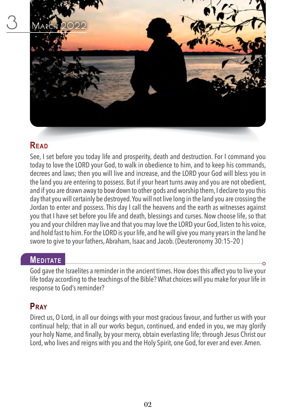

See, I set before you today life and prosperity, death and destruction. For I command you today to love the LORD your God, to walk in obedience to him, and to keep his commands, decrees and laws; then you will live and increase, and the LORD your God will bless you in the land you are entering to possess. But if your heart turns away and you are not obedient, and if you are drawn away to bow down to other gods and worship them, I declare to you this day that you will certainly be destroyed. You will not live long in the land you are crossing the Jordan to enter and possess. This day I call the heavens and the earth as witnesses against you that I have set before you life and death, blessings and curses. Now choose life, so that you and your children may live and that you may love the LORD your God, listen to his voice, and hold fast to him. For the LORD is your life, and he will give you many years in the land he swore to give to your fathers, Abraham, Isaac and Jacob. (Deuteronomy 30:15–20 )

# **MEDITATE**

God gave the Israelites a reminder in the ancient times. How does this affect you to live your life today according to the teachings of the Bible? What choices will you make for your life in response to God's reminder?

# **Pray**

Direct us, O Lord, in all our doings with your most gracious favour, and further us with your continual help; that in all our works begun, continued, and ended in you, we may glorify your holy Name, and finally, by your mercy, obtain everlasting life; through Jesus Christ our Lord, who lives and reigns with you and the Holy Spirit, one God, for ever and ever. Amen.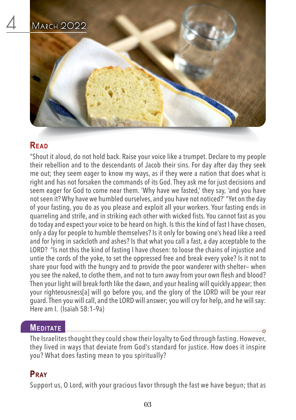

"Shout it aloud, do not hold back. Raise your voice like a trumpet. Declare to my people their rebellion and to the descendants of Jacob their sins. For day after day they seek me out; they seem eager to know my ways, as if they were a nation that does what is right and has not forsaken the commands of its God. They ask me for just decisions and seem eager for God to come near them. 'Why have we fasted,' they say, 'and you have not seen it? Why have we humbled ourselves, and you have not noticed?' "Yet on the day of your fasting, you do as you please and exploit all your workers. Your fasting ends in quarreling and strife, and in striking each other with wicked fists. You cannot fast as you do today and expect your voice to be heard on high. Is this the kind of fast I have chosen, only a day for people to humble themselves? Is it only for bowing one's head like a reed and for lying in sackcloth and ashes? Is that what you call a fast, a day acceptable to the LORD? "Is not this the kind of fasting I have chosen: to loose the chains of injustice and untie the cords of the yoke, to set the oppressed free and break every yoke? Is it not to share your food with the hungry and to provide the poor wanderer with shelter— when you see the naked, to clothe them, and not to turn away from your own flesh and blood? Then your light will break forth like the dawn, and your healing will quickly appear; then your righteousness[a] will go before you, and the glory of the LORD will be your rear guard. Then you will call, and the LORD will answer; you will cry for help, and he will say: Here am I. (Isaiah 58:1–9a)

#### **MEDITATE**

The Israelites thought they could show their loyalty to God through fasting. However, they lived in ways that deviate from God's standard for justice. How does it inspire you? What does fasting mean to you spiritually?

# **Pray**

Support us, O Lord, with your gracious favor through the fast we have begun; that as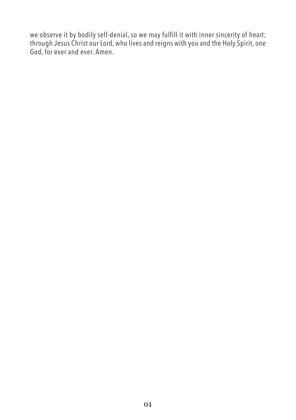we observe it by bodily self-denial, so we may fulfill it with inner sincerity of heart; through Jesus Christ our Lord, who lives and reigns with you and the Holy Spirit, one God, for ever and ever. Amen.